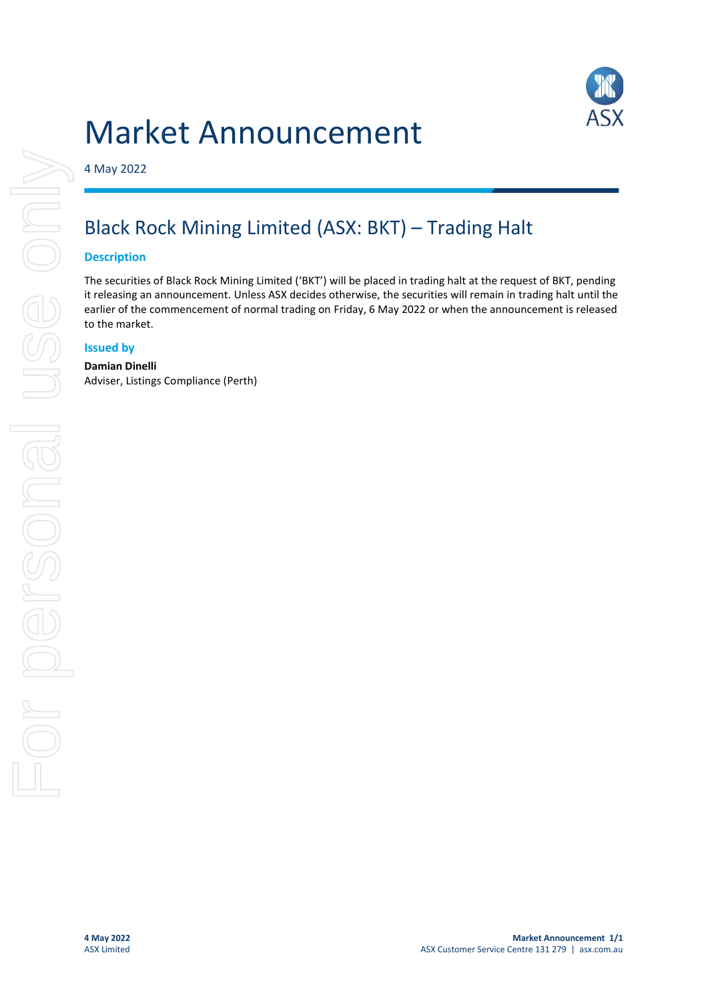# Market Announcement



4 May 2022

# Black Rock Mining Limited (ASX: BKT) – Trading Halt

#### **Description**

The securities of Black Rock Mining Limited ('BKT') will be placed in trading halt at the request of BKT, pending it releasing an announcement. Unless ASX decides otherwise, the securities will remain in trading halt until the earlier of the commencement of normal trading on Friday, 6 May 2022 or when the announcement is released to the market.

## **Issued by**

#### **Damian Dinelli**

Adviser, Listings Compliance (Perth)